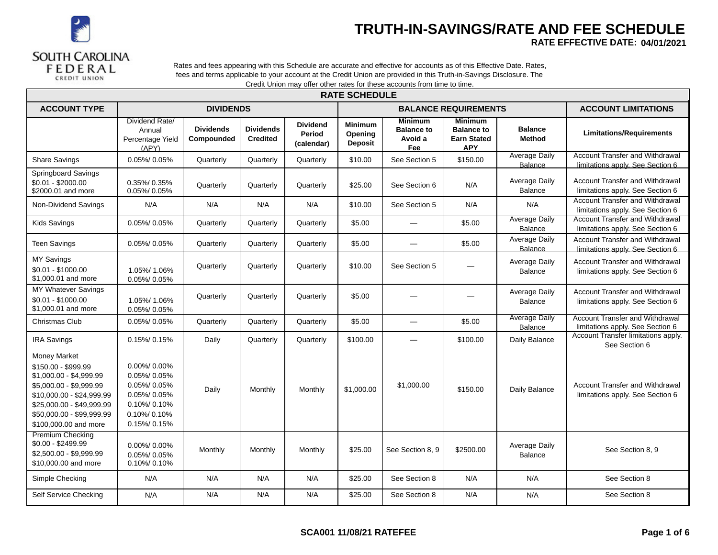

## **TRUTH-IN-SAVINGS/RATE AND FEE SCHEDULE**

RATE EFFECTIVE DATE: 04/01/2021

Rates and fees appearing with this Schedule are accurate and effective for accounts as of this Effective Date. Rates, fees and terms applicable to your account at the Credit Union are provided in this Truth-in-Savings Disclosure. The Credit Union may offer other rates for these accounts from time to time.

|                                                                                                                                                                                                                  |                                                                                                             |                                |                                     |                                         | <b>RATE SCHEDULE</b>                        |                                                       |                                                                         |                                        |                                                                            |
|------------------------------------------------------------------------------------------------------------------------------------------------------------------------------------------------------------------|-------------------------------------------------------------------------------------------------------------|--------------------------------|-------------------------------------|-----------------------------------------|---------------------------------------------|-------------------------------------------------------|-------------------------------------------------------------------------|----------------------------------------|----------------------------------------------------------------------------|
| <b>ACCOUNT TYPE</b>                                                                                                                                                                                              |                                                                                                             | <b>DIVIDENDS</b>               |                                     |                                         |                                             |                                                       | <b>BALANCE REQUIREMENTS</b>                                             |                                        | <b>ACCOUNT LIMITATIONS</b>                                                 |
|                                                                                                                                                                                                                  | Dividend Rate/<br>Annual<br>Percentage Yield<br>(APY)                                                       | <b>Dividends</b><br>Compounded | <b>Dividends</b><br><b>Credited</b> | <b>Dividend</b><br>Period<br>(calendar) | <b>Minimum</b><br>Opening<br><b>Deposit</b> | <b>Minimum</b><br><b>Balance to</b><br>Avoid a<br>Fee | <b>Minimum</b><br><b>Balance to</b><br><b>Earn Stated</b><br><b>APY</b> | <b>Balance</b><br>Method               | <b>Limitations/Requirements</b>                                            |
| <b>Share Savings</b>                                                                                                                                                                                             | 0.05%/0.05%                                                                                                 | Quarterly                      | Quarterly                           | Quarterly                               | \$10.00                                     | See Section 5                                         | \$150.00                                                                | <b>Average Daily</b><br><b>Balance</b> | <b>Account Transfer and Withdrawal</b><br>limitations apply. See Section 6 |
| <b>Springboard Savings</b><br>$$0.01 - $2000.00$<br>\$2000.01 and more                                                                                                                                           | 0.35%/0.35%<br>0.05%/0.05%                                                                                  | Quarterly                      | Quarterly                           | Quarterly                               | \$25.00                                     | See Section 6                                         | N/A                                                                     | Average Daily<br><b>Balance</b>        | <b>Account Transfer and Withdrawal</b><br>limitations apply. See Section 6 |
| Non-Dividend Savings                                                                                                                                                                                             | N/A                                                                                                         | N/A                            | N/A                                 | N/A                                     | \$10.00                                     | See Section 5                                         | N/A                                                                     | N/A                                    | <b>Account Transfer and Withdrawal</b><br>limitations apply. See Section 6 |
| <b>Kids Savings</b>                                                                                                                                                                                              | 0.05%/0.05%                                                                                                 | Quarterly                      | Quarterly                           | Quarterly                               | \$5.00                                      | $\equiv$                                              | \$5.00                                                                  | <b>Average Daily</b><br><b>Balance</b> | <b>Account Transfer and Withdrawal</b><br>limitations apply. See Section 6 |
| <b>Teen Savings</b>                                                                                                                                                                                              | $0.05\%$ / $0.05\%$                                                                                         | Quarterly                      | Quarterly                           | Quarterly                               | \$5.00                                      | $\overline{\phantom{0}}$                              | \$5.00                                                                  | Average Daily<br>Balance               | Account Transfer and Withdrawal<br>limitations apply. See Section 6        |
| <b>MY Savings</b><br>$$0.01 - $1000.00$<br>\$1,000.01 and more                                                                                                                                                   | 1.05%/1.06%<br>0.05%/0.05%                                                                                  | Quarterly                      | Quarterly                           | Quarterly                               | \$10.00                                     | See Section 5                                         |                                                                         | Average Daily<br><b>Balance</b>        | <b>Account Transfer and Withdrawal</b><br>limitations apply. See Section 6 |
| <b>MY Whatever Savings</b><br>$$0.01 - $1000.00$<br>\$1,000.01 and more                                                                                                                                          | 1.05%/1.06%<br>0.05%/0.05%                                                                                  | Quarterly                      | Quarterly                           | Quarterly                               | \$5.00                                      |                                                       |                                                                         | Average Daily<br><b>Balance</b>        | Account Transfer and Withdrawal<br>limitations apply. See Section 6        |
| Christmas Club                                                                                                                                                                                                   | 0.05%/0.05%                                                                                                 | Quarterly                      | Quarterly                           | Quarterly                               | \$5.00                                      |                                                       | \$5.00                                                                  | <b>Average Daily</b><br><b>Balance</b> | <b>Account Transfer and Withdrawal</b><br>limitations apply. See Section 6 |
| <b>IRA Savings</b>                                                                                                                                                                                               | 0.15%/0.15%                                                                                                 | Daily                          | Quarterly                           | Quarterly                               | \$100.00                                    |                                                       | \$100.00                                                                | Daily Balance                          | Account Transfer limitations apply.<br>See Section 6                       |
| <b>Money Market</b><br>\$150.00 - \$999.99<br>\$1,000.00 - \$4,999.99<br>\$5,000.00 - \$9,999.99<br>\$10,000.00 - \$24,999.99<br>\$25,000.00 - \$49,999.99<br>\$50,000.00 - \$99,999.99<br>\$100,000.00 and more | 0.00%/0.00%<br>0.05%/0.05%<br>0.05%/0.05%<br>0.05%/0.05%<br>$0.10\%$ 0.10%<br>$0.10\%$ 0.10%<br>0.15%/0.15% | Daily                          | Monthly                             | Monthly                                 | \$1,000.00                                  | \$1,000.00                                            | \$150.00                                                                | Daily Balance                          | <b>Account Transfer and Withdrawal</b><br>limitations apply. See Section 6 |
| <b>Premium Checking</b><br>$$0.00 - $2499.99$<br>\$2,500.00 - \$9,999.99<br>\$10,000,00 and more                                                                                                                 | 0.00%/0.00%<br>$0.05\%$ / $0.05\%$<br>$0.10\%$ 0.10%                                                        | Monthly                        | Monthly                             | Monthly                                 | \$25.00                                     | See Section 8, 9                                      | \$2500.00                                                               | Average Daily<br>Balance               | See Section 8, 9                                                           |
| Simple Checking                                                                                                                                                                                                  | N/A                                                                                                         | N/A                            | N/A                                 | N/A                                     | \$25.00                                     | See Section 8                                         | N/A                                                                     | N/A                                    | See Section 8                                                              |
| Self Service Checking                                                                                                                                                                                            | N/A                                                                                                         | N/A                            | N/A                                 | N/A                                     | \$25.00                                     | See Section 8                                         | N/A                                                                     | N/A                                    | See Section 8                                                              |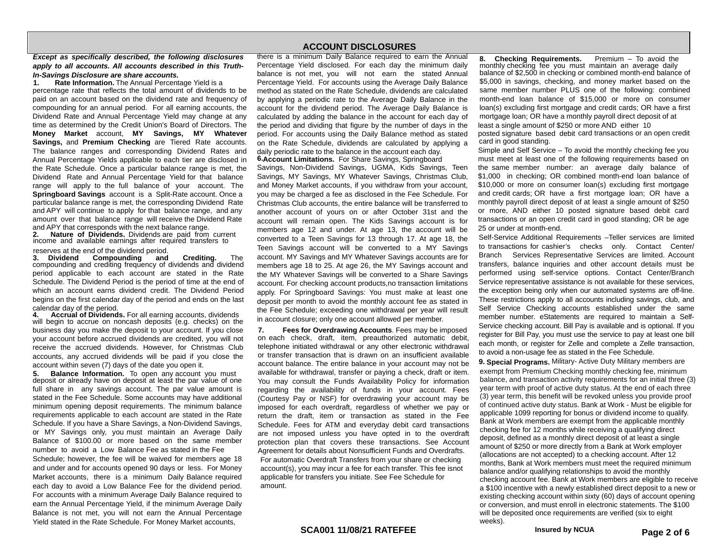#### Except as specifically described, the following disclosures apply to all accounts. All accounts described in this Truth-In-Savings Disclosure are share accounts.

Rate Information. The Annual Percentage Yield is a  $\mathbf{1}$ . percentage rate that reflects the total amount of dividends to be paid on an account based on the dividend rate and frequency of compounding for an annual period. For all earning accounts, the Dividend Rate and Annual Percentage Yield may change at any time as determined by the Credit Union's Board of Directors. The Money Market account, MY Savings, MY Whatever Savings, and Premium Checking are Tiered Rate accounts. The balance ranges and corresponding Dividend Rates and Annual Percentage Yields applicable to each tier are disclosed in the Rate Schedule. Once a particular balance range is met, the Dividend Rate and Annual Percentage Yield for that balance range will apply to the full balance of your account. The Springboard Savings account is a Split-Rate account. Once a particular balance range is met, the corresponding Dividend Rate and APY will continue to apply for that balance range, and any amount over that balance range will receive the Dividend Rate and APY that corresponds with the next balance range.

Nature of Dividends. Dividends are paid from current  $2.$ income and available earnings after required transfers to

#### reserves at the end of the dividend period.

3. Dividend Compounding and Crediting. The compounding and crediting frequency of dividends and dividend period applicable to each account are stated in the Rate Schedule. The Dividend Period is the period of time at the end of which an account earns dividend credit. The Dividend Period begins on the first calendar day of the period and ends on the last calendar day of the period.

4. Accrual of Dividends. For all earning accounts, dividends will begin to accrue on noncash deposits (e.g. checks) on the business day you make the deposit to your account. If you close your account before accrued dividends are credited, you will not receive the accrued dividends. However, for Christmas Club accounts, any accrued dividends will be paid if you close the account within seven (7) days of the date you open it.

5. Balance Information. To open any account you must<br>deposit or already have on deposit at least the par value of one full share in any savings account. The par value amount is stated in the Fee Schedule. Some accounts may have additional minimum opening deposit requirements. The minimum balance requirements applicable to each account are stated in the Rate Schedule. If you have a Share Savings, a Non-Dividend Savings, or MY Savings only, you must maintain an Average Daily Balance of \$100.00 or more based on the same member number to avoid a Low Balance Fee as stated in the Fee

Schedule; however, the fee will be waived for members age 18 and under and for accounts opened 90 days or less. For Money Market accounts, there is a minimum Daily Balance required each day to avoid a Low Balance Fee for the dividend period. For accounts with a minimum Average Daily Balance required to earn the Annual Percentage Yield, if the minimum Average Daily Balance is not met, you will not earn the Annual Percentage Yield stated in the Rate Schedule. For Money Market accounts,

### **ACCOUNT DISCLOSURES**

there is a minimum Daily Balance required to earn the Annual Percentage Yield disclosed. For each day the minimum daily balance is not met, you will not earn the stated Annual Percentage Yield. For accounts using the Average Daily Balance method as stated on the Rate Schedule, dividends are calculated by applying a periodic rate to the Average Daily Balance in the account for the dividend period. The Average Daily Balance is calculated by adding the balance in the account for each day of the period and dividing that figure by the number of days in the period. For accounts using the Daily Balance method as stated on the Rate Schedule, dividends are calculated by applying a daily periodic rate to the balance in the account each day. 6.Account Limitations. For Share Savings, Springboard

Savings, Non-Dividend Savings, UGMA, Kids Savings, Teen Savings, MY Savings, MY Whatever Savings, Christmas Club, and Money Market accounts, if you withdraw from your account, you may be charged a fee as disclosed in the Fee Schedule. For Christmas Club accounts, the entire balance will be transferred to another account of yours on or after October 31st and the account will remain open. The Kids Savings account is for members age 12 and under. At age 13, the account will be converted to a Teen Savings for 13 through 17. At age 18, the Teen Savings account will be converted to a MY Savings account. MY Savings and MY Whatever Savings accounts are for members age 18 to 25. At age 26, the MY Savings account and the MY Whatever Savings will be converted to a Share Savings account. For checking account products, no transaction limitations apply. For Springboard Savings: You must make at least one deposit per month to avoid the monthly account fee as stated in the Fee Schedule; exceeding one withdrawal per year will result in account closure; only one account allowed per member.

7. Fees for Overdrawing Accounts. Fees may be imposed on each check, draft, item, preauthorized automatic debit, telephone initiated withdrawal or any other electronic withdrawal or transfer transaction that is drawn on an insufficient available account balance. The entire balance in your account may not be available for withdrawal, transfer or paying a check, draft or item. You may consult the Funds Availability Policy for information regarding the availability of funds in your account. Fees (Courtesy Pay or NSF) for overdrawing your account may be imposed for each overdraft, regardless of whether we pay or return the draft, item or transaction as stated in the Fee Schedule. Fees for ATM and everyday debit card transactions are not imposed unless you have opted in to the overdraft protection plan that covers these transactions. See Account Agreement for details about Nonsufficient Funds and Overdrafts. For automatic Overdraft Transfers from your share or checking account(s), you may incur a fee for each transfer. This fee isnot applicable for transfers you initiate. See Fee Schedule for amount.

8. **Checking Requirements.** Premium - To avoid the monthly checking fee you must maintain an average daily balance of \$2,500 in checking or combined month-end balance of \$5,000 in savings, checking, and money market based on the same member number PLUS one of the following: combined month-end loan balance of \$15,000 or more on consumer loan(s) excluding first mortgage and credit cards; OR have a first mortgage loan; OR have a monthly payroll direct deposit of at least a single amount of \$250 or more AND either 10 posted signature based debit card transactions or an open credit card in good standing.

Simple and Self Service - To avoid the monthly checking fee you must meet at least one of the following requirements based on the same member number: an average daily balance of \$1,000 in checking; OR combined month-end loan balance of \$10,000 or more on consumer loan(s) excluding first mortgage and credit cards; OR have a first mortgage loan; OR have a monthly payroll direct deposit of at least a single amount of \$250 or more, AND either 10 posted signature based debit card transactions or an open credit card in good standing; OR be age 25 or under at month-end.

Self-Service Additional Requirements -Teller services are limited to transactions for cashier's checks only. Contact Center/ Branch Services Representative Services are limited. Account transfers, balance inquiries and other account details must be performed using self-service options. Contact Center/Branch Service representative assistance is not available for these services. the exception being only when our automated systems are off-line. These restrictions apply to all accounts including savings, club, and Self Service Checking accounts established under the same member number. eStatements are required to maintain a Self-Service checking account. Bill Pay is available and is optional. If you register for Bill Pay, you must use the service to pay at least one bill each month, or register for Zelle and complete a Zelle transaction, to avoid a non-usage fee as stated in the Fee Schedule.

9. Special Programs. Military- Active Duty Military members are exempt from Premium Checking monthly checking fee, minimum balance, and transaction activity requirements for an initial three (3) year term with proof of active duty status. At the end of each three (3) year term, this benefit will be revoked unless you provide proof of continued active duty status. Bank at Work - Must be eligible for applicable 1099 reporting for bonus or dividend income to qualify. Bank at Work members are exempt from the applicable monthly checking fee for 12 months while receiving a qualifying direct deposit, defined as a monthly direct deposit of at least a single amount of \$250 or more directly from a Bank at Work employer (allocations are not accepted) to a checking account. After 12 months, Bank at Work members must meet the required minimum balance and/or qualifying relationships to avoid the monthly checking account fee. Bank at Work members are eligible to receive a \$100 incentive with a newly established direct deposit to a new or existing checking account within sixty (60) days of account opening or conversion, and must enroll in electronic statements. The \$100 will be deposited once requirements are verified (six to eight weeks).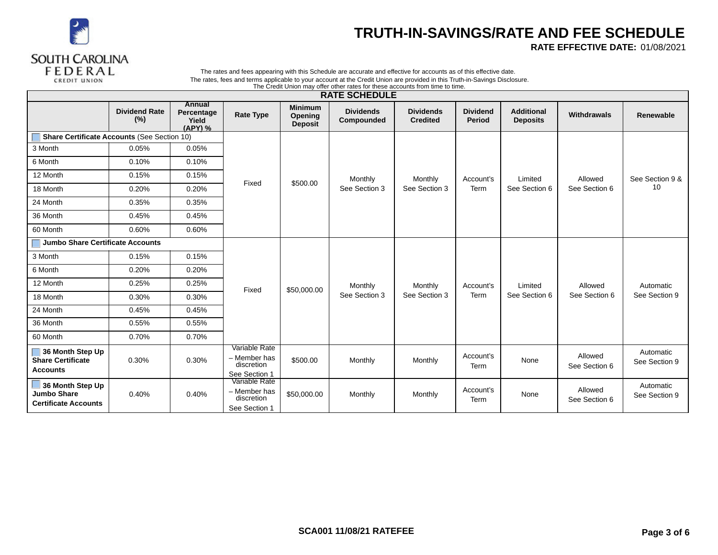

# TRUTH-IN-SAVINGS/RATE AND FEE SCHEDULE

RATE EFFECTIVE DATE: 01/08/2021

#### The rates and fees appearing with this Schedule are accurate and effective for accounts as of this effective date. The rates, fees and terms applicable to your account at the Credit Union are provided in this Truth-in-Savings Disclosure. The Credit Union may offer other rates for these accounts from time to time.

|                                                                       |                             |                                                        |                                                              |                                             | <b>RATE SCHEDULE</b>           |                                     |                                  |                                      |                          |                            |
|-----------------------------------------------------------------------|-----------------------------|--------------------------------------------------------|--------------------------------------------------------------|---------------------------------------------|--------------------------------|-------------------------------------|----------------------------------|--------------------------------------|--------------------------|----------------------------|
|                                                                       | <b>Dividend Rate</b><br>(%) | <b>Annual</b><br>Percentage<br><b>Yield</b><br>(APY) % | <b>Rate Type</b>                                             | <b>Minimum</b><br>Opening<br><b>Deposit</b> | <b>Dividends</b><br>Compounded | <b>Dividends</b><br><b>Credited</b> | <b>Dividend</b><br><b>Period</b> | <b>Additional</b><br><b>Deposits</b> | Withdrawals              | Renewable                  |
| <b>Share Certificate Accounts (See Section 10)</b>                    |                             |                                                        |                                                              |                                             |                                |                                     |                                  |                                      |                          |                            |
| 3 Month                                                               | 0.05%                       | 0.05%                                                  |                                                              |                                             |                                |                                     |                                  |                                      |                          |                            |
| 6 Month                                                               | 0.10%                       | 0.10%                                                  |                                                              |                                             |                                |                                     |                                  |                                      |                          |                            |
| 12 Month                                                              | 0.15%                       | 0.15%                                                  |                                                              |                                             | Monthly                        | Monthly                             | Account's                        | Limited                              | Allowed                  | See Section 9 &            |
| 18 Month                                                              | 0.20%                       | 0.20%                                                  | Fixed                                                        | \$500.00                                    | See Section 3                  | See Section 3                       | Term                             | See Section 6                        | See Section 6            | 10                         |
| 24 Month                                                              | 0.35%                       | 0.35%                                                  |                                                              |                                             |                                |                                     |                                  |                                      |                          |                            |
| 36 Month                                                              | 0.45%                       | 0.45%                                                  |                                                              |                                             |                                |                                     |                                  |                                      |                          |                            |
| 60 Month                                                              | 0.60%                       | 0.60%                                                  |                                                              |                                             |                                |                                     |                                  |                                      |                          |                            |
| Jumbo Share Certificate Accounts                                      |                             |                                                        |                                                              |                                             |                                |                                     |                                  |                                      |                          |                            |
| 3 Month                                                               | 0.15%                       | 0.15%                                                  |                                                              |                                             |                                |                                     |                                  |                                      |                          |                            |
| 6 Month                                                               | 0.20%                       | 0.20%                                                  |                                                              |                                             |                                |                                     |                                  |                                      |                          |                            |
| 12 Month                                                              | 0.25%                       | 0.25%                                                  | Fixed                                                        | \$50,000.00                                 | Monthly                        | Monthly                             | Account's                        | Limited                              | Allowed                  | Automatic                  |
| 18 Month                                                              | 0.30%                       | 0.30%                                                  |                                                              |                                             | See Section 3                  | See Section 3                       | Term                             | See Section 6                        | See Section 6            | See Section 9              |
| 24 Month                                                              | 0.45%                       | 0.45%                                                  |                                                              |                                             |                                |                                     |                                  |                                      |                          |                            |
| 36 Month                                                              | 0.55%                       | 0.55%                                                  |                                                              |                                             |                                |                                     |                                  |                                      |                          |                            |
| 60 Month                                                              | 0.70%                       | 0.70%                                                  |                                                              |                                             |                                |                                     |                                  |                                      |                          |                            |
| 36 Month Step Up<br>Share Certificate<br><b>Accounts</b>              | 0.30%                       | 0.30%                                                  | Variable Rate<br>- Member has<br>discretion<br>See Section 1 | \$500.00                                    | Monthly                        | Monthly                             | Account's<br>Term                | None                                 | Allowed<br>See Section 6 | Automatic<br>See Section 9 |
| 36 Month Step Up<br><b>Jumbo Share</b><br><b>Certificate Accounts</b> | 0.40%                       | 0.40%                                                  | Variable Rate<br>- Member has<br>discretion<br>See Section 1 | \$50,000.00                                 | Monthly                        | Monthly                             | Account's<br>Term                | None                                 | Allowed<br>See Section 6 | Automatic<br>See Section 9 |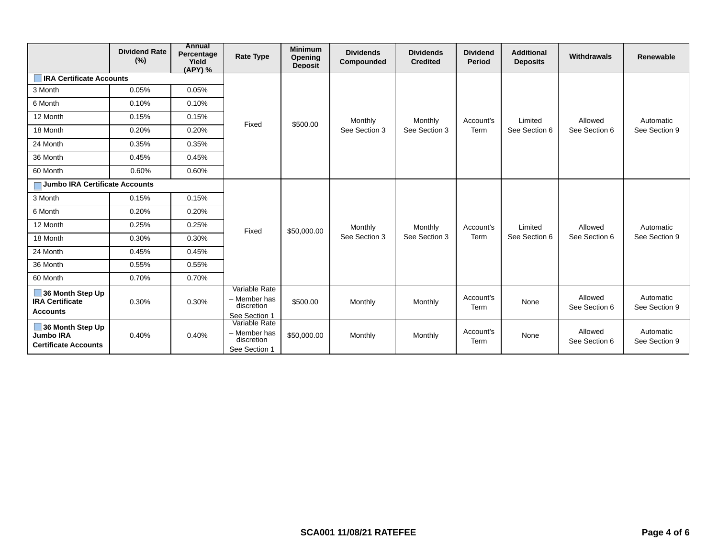|                                                                     | <b>Dividend Rate</b><br>$(\%)$ | Annual<br>Percentage<br>Yield<br>(APY) % | <b>Rate Type</b>                                             | <b>Minimum</b><br>Opening<br><b>Deposit</b> | <b>Dividends</b><br>Compounded | <b>Dividends</b><br><b>Credited</b> | <b>Dividend</b><br>Period | <b>Additional</b><br><b>Deposits</b> | Withdrawals              | <b>Renewable</b>           |
|---------------------------------------------------------------------|--------------------------------|------------------------------------------|--------------------------------------------------------------|---------------------------------------------|--------------------------------|-------------------------------------|---------------------------|--------------------------------------|--------------------------|----------------------------|
| <b>IRA Certificate Accounts</b>                                     |                                |                                          |                                                              |                                             |                                |                                     |                           |                                      |                          |                            |
| 3 Month                                                             | 0.05%                          | 0.05%                                    |                                                              |                                             |                                |                                     |                           |                                      |                          |                            |
| 6 Month                                                             | 0.10%                          | 0.10%                                    |                                                              |                                             |                                |                                     |                           |                                      |                          |                            |
| 12 Month                                                            | 0.15%                          | 0.15%                                    | Fixed                                                        |                                             | Monthly                        | Monthly                             | Account's                 | Limited                              | Allowed                  | Automatic                  |
| 18 Month                                                            | 0.20%                          | 0.20%                                    |                                                              | \$500.00                                    | See Section 3                  | See Section 3                       | Term                      | See Section 6                        | See Section 6            | See Section 9              |
| 24 Month                                                            | 0.35%                          | 0.35%                                    |                                                              |                                             |                                |                                     |                           |                                      |                          |                            |
| 36 Month                                                            | 0.45%                          | 0.45%                                    |                                                              |                                             |                                |                                     |                           |                                      |                          |                            |
| 60 Month                                                            | 0.60%                          | 0.60%                                    |                                                              |                                             |                                |                                     |                           |                                      |                          |                            |
| Jumbo IRA Certificate Accounts                                      |                                |                                          |                                                              |                                             |                                |                                     |                           |                                      |                          |                            |
| 3 Month                                                             | 0.15%                          | 0.15%                                    |                                                              |                                             |                                |                                     |                           |                                      |                          |                            |
| 6 Month                                                             | 0.20%                          | 0.20%                                    |                                                              |                                             |                                |                                     |                           |                                      |                          |                            |
| 12 Month                                                            | 0.25%                          | 0.25%                                    | Fixed                                                        | \$50,000.00                                 | Monthly                        | Monthly                             | Account's                 | Limited                              | Allowed                  | Automatic                  |
| 18 Month                                                            | 0.30%                          | 0.30%                                    |                                                              |                                             | See Section 3                  | See Section 3                       | Term                      | See Section 6                        | See Section 6            | See Section 9              |
| 24 Month                                                            | 0.45%                          | 0.45%                                    |                                                              |                                             |                                |                                     |                           |                                      |                          |                            |
| 36 Month                                                            | 0.55%                          | 0.55%                                    |                                                              |                                             |                                |                                     |                           |                                      |                          |                            |
| 60 Month                                                            | 0.70%                          | 0.70%                                    |                                                              |                                             |                                |                                     |                           |                                      |                          |                            |
| 36 Month Step Up<br><b>IRA Certificate</b><br><b>Accounts</b>       | 0.30%                          | 0.30%                                    | Variable Rate<br>- Member has<br>discretion<br>See Section 1 | \$500.00                                    | Monthly                        | Monthly                             | Account's<br>Term         | None                                 | Allowed<br>See Section 6 | Automatic<br>See Section 9 |
| 36 Month Step Up<br><b>Jumbo IRA</b><br><b>Certificate Accounts</b> | 0.40%                          | 0.40%                                    | Variable Rate<br>- Member has<br>discretion<br>See Section 1 | \$50,000.00                                 | Monthly                        | Monthly                             | Account's<br>Term         | None                                 | Allowed<br>See Section 6 | Automatic<br>See Section 9 |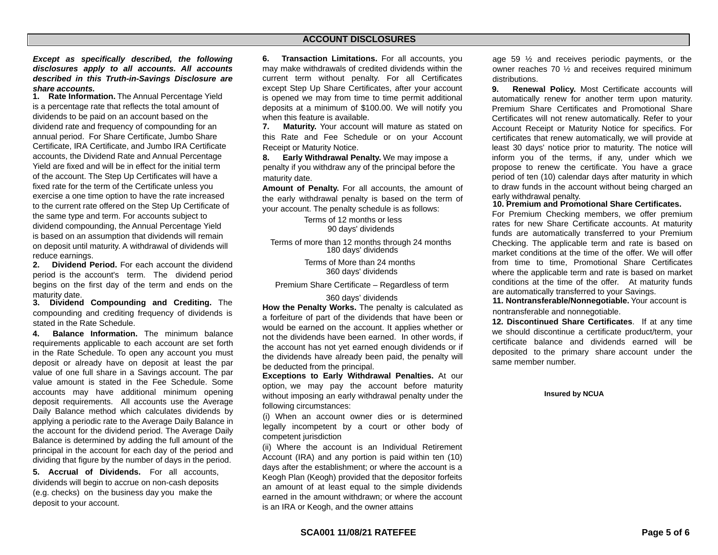## **ACCOUNT DISCLOSURES**

Except as specifically described, the following disclosures apply to all accounts. All accounts described in this Truth-in-Savings Disclosure are share accounts.

1. Rate Information. The Annual Percentage Yield is a percentage rate that reflects the total amount of dividends to be paid on an account based on the dividend rate and frequency of compounding for an annual period. For Share Certificate, Jumbo Share Certificate, IRA Certificate, and Jumbo IRA Certificate accounts, the Dividend Rate and Annual Percentage Yield are fixed and will be in effect for the initial term of the account. The Step Up Certificates will have a fixed rate for the term of the Certificate unless you exercise a one time option to have the rate increased to the current rate offered on the Step Up Certificate of the same type and term. For accounts subject to dividend compounding, the Annual Percentage Yield is based on an assumption that dividends will remain on deposit until maturity. A withdrawal of dividends will reduce earnings.

Dividend Period. For each account the dividend  $2.$ period is the account's term. The dividend period begins on the first day of the term and ends on the maturity date.

3. Dividend Compounding and Crediting. The compounding and crediting frequency of dividends is stated in the Rate Schedule.

4. Balance Information. The minimum balance requirements applicable to each account are set forth in the Rate Schedule. To open any account you must deposit or already have on deposit at least the par value of one full share in a Savings account. The par value amount is stated in the Fee Schedule. Some accounts may have additional minimum opening deposit requirements. All accounts use the Average Daily Balance method which calculates dividends by applying a periodic rate to the Average Daily Balance in the account for the dividend period. The Average Daily Balance is determined by adding the full amount of the principal in the account for each day of the period and dividing that figure by the number of days in the period.

5. Accrual of Dividends. For all accounts. dividends will begin to accrue on non-cash deposits (e.g. checks) on the business day you make the deposit to your account.

6. Transaction Limitations. For all accounts, you may make withdrawals of credited dividends within the current term without penalty. For all Certificates except Step Up Share Certificates, after your account is opened we may from time to time permit additional deposits at a minimum of \$100.00. We will notify you when this feature is available.

Maturity. Your account will mature as stated on 7. this Rate and Fee Schedule or on your Account Receipt or Maturity Notice.

8. Early Withdrawal Penalty. We may impose a penalty if you withdraw any of the principal before the maturity date.

Amount of Penalty. For all accounts, the amount of the early withdrawal penalty is based on the term of your account. The penalty schedule is as follows:

> Terms of 12 months or less 90 days' dividends

Terms of more than 12 months through 24 months 180 days' dividends

> Terms of More than 24 months 360 days' dividends

Premium Share Certificate - Regardless of term

#### 360 days' dividends

How the Penalty Works. The penalty is calculated as a forfeiture of part of the dividends that have been or would be earned on the account. It applies whether or not the dividends have been earned. In other words, if the account has not yet earned enough dividends or if the dividends have already been paid, the penalty will be deducted from the principal.

Exceptions to Early Withdrawal Penalties. At our option, we may pay the account before maturity without imposing an early withdrawal penalty under the following circumstances:

(i) When an account owner dies or is determined legally incompetent by a court or other body of competent jurisdiction

(ii) Where the account is an Individual Retirement Account (IRA) and any portion is paid within ten (10) days after the establishment; or where the account is a Keogh Plan (Keogh) provided that the depositor forfeits an amount of at least equal to the simple dividends earned in the amount withdrawn; or where the account is an IRA or Keogh, and the owner attains

age 59  $\frac{1}{2}$  and receives periodic payments, or the owner reaches 70 1/2 and receives required minimum distributions.

Renewal Policy. Most Certificate accounts will 9. automatically renew for another term upon maturity. Premium Share Certificates and Promotional Share Certificates will not renew automatically. Refer to your Account Receipt or Maturity Notice for specifics. For certificates that renew automatically, we will provide at least 30 days' notice prior to maturity. The notice will inform you of the terms, if any, under which we propose to renew the certificate. You have a grace period of ten (10) calendar days after maturity in which to draw funds in the account without being charged an early withdrawal penalty.

#### 10. Premium and Promotional Share Certificates.

For Premium Checking members, we offer premium rates for new Share Certificate accounts. At maturity funds are automatically transferred to your Premium Checking. The applicable term and rate is based on market conditions at the time of the offer. We will offer from time to time, Promotional Share Certificates where the applicable term and rate is based on market conditions at the time of the offer. At maturity funds are automatically transferred to your Savings.

11. Nontransferable/Nonnegotiable. Your account is nontransferable and nonnegotiable.

12. Discontinued Share Certificates. If at any time we should discontinue a certificate product/term, your certificate balance and dividends earned will be deposited to the primary share account under the same member number.

**Insured by NCUA**